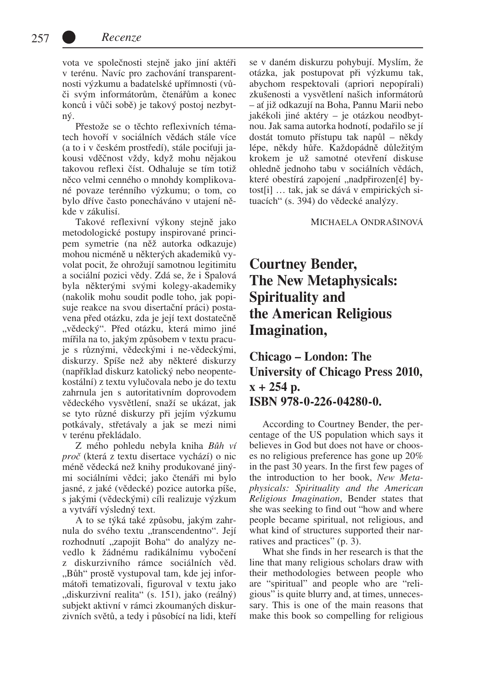vota ve společnosti stejně jako jiní aktéři v terénu. Navíc pro zachování transparentnosti výzkumu a badatelské upřímnosti (vůči svým informátorům, čtenářům a konec konců i vůči sobě) je takový postoj nezbytný.

Přestože se o těchto reflexivních tématech hovoří v sociálních vědách stále více (a to i v českém prostředí), stále pociťuji jakousi vděčnost vždy, když mohu nějakou takovou reflexi číst. Odhaluje se tím totiž něco velmi cenného o mnohdy komplikované povaze terénního výzkumu; o tom, co bylo dříve často ponecháváno v utajení někde v zákulisí.

Takové reflexivní výkony stejně jako metodologické postupy inspirované principem symetrie (na něž autorka odkazuje) mohou nicméně u některých akademiků vyvolat pocit, že ohrožují samotnou legitimitu a sociální pozici vědy. Zdá se, že i Spalová byla některými svými kolegy-akademiky (nakolik mohu soudit podle toho, jak popisuje reakce na svou disertační práci) postavena před otázku, zda je její text dostatečně "vědecký". Před otázku, která mimo jiné mířila na to, jakým způsobem v textu pracuje s různými, vědeckými i ne-vědeckými, diskurzy. Spíše než aby některé diskurzy (například diskurz katolický nebo neopentekostální) z textu vylučovala nebo je do textu zahrnula jen s autoritativním doprovodem vědeckého vysvětlení, snaží se ukázat, jak se tyto různé diskurzy při jejím výzkumu potkávaly, střetávaly a jak se mezi nimi v terénu překládalo.

Z mého pohledu nebyla kniha *Bůh ví proč* (která z textu disertace vychází) o nic méně vědecká než knihy produkované jinými sociálními vědci; jako čtenáři mi bylo jasné, z jaké (vědecké) pozice autorka píše, s jakými (vědeckými) cíli realizuje výzkum a vytváří výsledný text.

A to se týká také způsobu, jakým zahrnula do svého textu "transcendentno". Její rozhodnutí "zapojit Boha" do analýzy nevedlo k žádnému radikálnímu vybočení z diskurzivního rámce sociálních věd. "Bůh" prostě vystupoval tam, kde jej informátoři tematizovali, figuroval v textu jako "diskurzivní realita" (s. 151), jako (reálný) subjekt aktivní v rámci zkoumaných diskurzivních světů, a tedy i působící na lidi, kteří

se v daném diskurzu pohybují. Myslím, že otázka, jak postupovat při výzkumu tak, abychom respektovali (apriori nepopírali) zkušenosti a vysvětlení našich informátorů – ať již odkazují na Boha, Pannu Marii nebo jakékoli jiné aktéry – je otázkou neodbytnou. Jak sama autorka hodnotí, podařilo se jí dostát tomuto přístupu tak napůl – někdy lépe, někdy hůře. Každopádně důležitým krokem je už samotné otevření diskuse ohledně jednoho tabu v sociálních vědách, které obestírá zapojení "nadpřirozen[é] bytost[i] … tak, jak se dává v empirických situacích" (s. 394) do vědecké analýzy.

## Michaela Ondrašinová

## **Courtney Bender, The New Metaphysicals: Spirituality and the American Religious Imagination,**

**Chicago – London: The University of Chicago Press 2010, x + 254 p. ISBN 978-0-226-04280-0.**

According to Courtney Bender, the percentage of the US population which says it believes in God but does not have or chooses no religious preference has gone up 20% in the past 30 years. In the first few pages of the introduction to her book, *New Metaphysicals: Spirituality and the American Religious Imagination*, Bender states that she was seeking to find out "how and where people became spiritual, not religious, and what kind of structures supported their narratives and practices" (p. 3).

What she finds in her research is that the line that many religious scholars draw with their methodologies between people who are "spiritual" and people who are "religious" is quite blurry and, at times, unnecessary. This is one of the main reasons that make this book so compelling for religious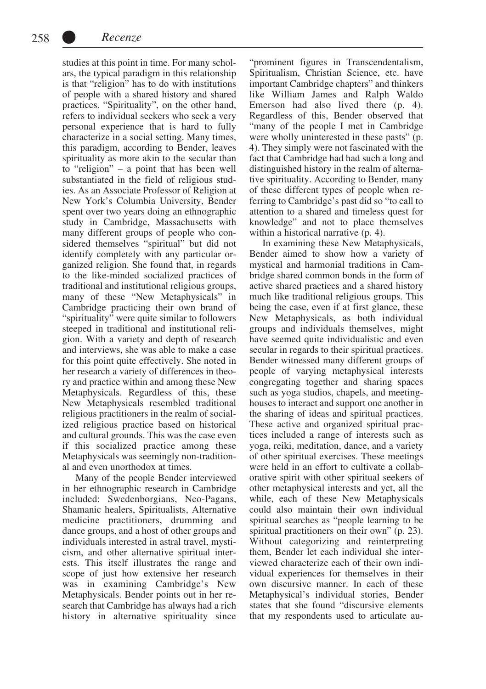studies at this point in time. For many scholars, the typical paradigm in this relationship is that "religion" has to do with institutions of people with a shared history and shared practices. "Spirituality", on the other hand, refers to individual seekers who seek a very personal experience that is hard to fully characterize in a social setting. Many times, this paradigm, according to Bender, leaves spirituality as more akin to the secular than to "religion" – a point that has been well substantiated in the field of religious studies. As an Associate Professor of Religion at New York's Columbia University, Bender spent over two years doing an ethnographic study in Cambridge, Massachusetts with many different groups of people who considered themselves "spiritual" but did not identify completely with any particular organized religion. She found that, in regards to the like-minded socialized practices of traditional and institutional religious groups, many of these "New Metaphysicals" in Cambridge practicing their own brand of "spirituality" were quite similar to followers steeped in traditional and institutional religion. With a variety and depth of research and interviews, she was able to make a case for this point quite effectively. She noted in her research a variety of differences in theory and practice within and among these New Metaphysicals. Regardless of this, these New Metaphysicals resembled traditional religious practitioners in the realm of socialized religious practice based on historical and cultural grounds. This was the case even if this socialized practice among these Metaphysicals was seemingly non-traditional and even unorthodox at times.

Many of the people Bender interviewed in her ethnographic research in Cambridge included: Swedenborgians, Neo-Pagans, Shamanic healers, Spiritualists, Alternative medicine practitioners, drumming and dance groups, and a host of other groups and individuals interested in astral travel, mysticism, and other alternative spiritual interests. This itself illustrates the range and scope of just how extensive her research was in examining Cambridge's New Metaphysicals. Bender points out in her research that Cambridge has always had a rich history in alternative spirituality since

"prominent figures in Transcendentalism, Spiritualism, Christian Science, etc. have important Cambridge chapters" and thinkers like William James and Ralph Waldo Emerson had also lived there (p. 4). Regardless of this, Bender observed that "many of the people I met in Cambridge were wholly uninterested in these pasts" (p. 4). They simply were not fascinated with the fact that Cambridge had had such a long and distinguished history in the realm of alternative spirituality. According to Bender, many of these different types of people when referring to Cambridge's past did so "to call to attention to a shared and timeless quest for knowledge" and not to place themselves within a historical narrative (p. 4).

In examining these New Metaphysicals, Bender aimed to show how a variety of mystical and harmonial traditions in Cambridge shared common bonds in the form of active shared practices and a shared history much like traditional religious groups. This being the case, even if at first glance, these New Metaphysicals, as both individual groups and individuals themselves, might have seemed quite individualistic and even secular in regards to their spiritual practices. Bender witnessed many different groups of people of varying metaphysical interests congregating together and sharing spaces such as yoga studios, chapels, and meetinghouses to interact and support one another in the sharing of ideas and spiritual practices. These active and organized spiritual practices included a range of interests such as yoga, reiki, meditation, dance, and a variety of other spiritual exercises. These meetings were held in an effort to cultivate a collaborative spirit with other spiritual seekers of other metaphysical interests and yet, all the while, each of these New Metaphysicals could also maintain their own individual spiritual searches as "people learning to be spiritual practitioners on their own" (p. 23). Without categorizing and reinterpreting them, Bender let each individual she interviewed characterize each of their own individual experiences for themselves in their own discursive manner. In each of these Metaphysical's individual stories, Bender states that she found "discursive elements that my respondents used to articulate au